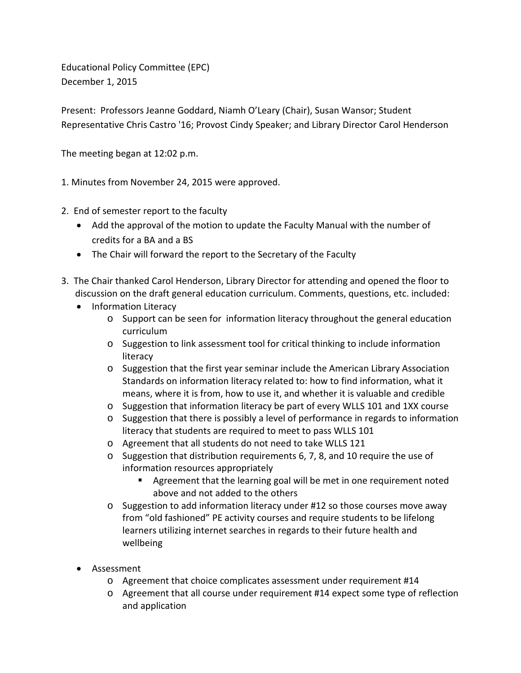Educational Policy Committee (EPC) December 1, 2015

Present: Professors Jeanne Goddard, Niamh O'Leary (Chair), Susan Wansor; Student Representative Chris Castro '16; Provost Cindy Speaker; and Library Director Carol Henderson

The meeting began at 12:02 p.m.

1. Minutes from November 24, 2015 were approved.

- 2. End of semester report to the faculty
	- Add the approval of the motion to update the Faculty Manual with the number of credits for a BA and a BS
	- The Chair will forward the report to the Secretary of the Faculty
- 3. The Chair thanked Carol Henderson, Library Director for attending and opened the floor to discussion on the draft general education curriculum. Comments, questions, etc. included:
	- Information Literacy
		- $\circ$  Support can be seen for information literacy throughout the general education curriculum
		- o Suggestion to link assessment tool for critical thinking to include information literacy
		- o Suggestion that the first year seminar include the American Library Association Standards on information literacy related to: how to find information, what it means, where it is from, how to use it, and whether it is valuable and credible
		- o Suggestion that information literacy be part of every WLLS 101 and 1XX course
		- o Suggestion that there is possibly a level of performance in regards to information literacy that students are required to meet to pass WLLS 101
		- o Agreement that all students do not need to take WLLS 121
		- $\circ$  Suggestion that distribution requirements 6, 7, 8, and 10 require the use of information resources appropriately
			- Agreement that the learning goal will be met in one requirement noted above and not added to the others
		- $\circ$  Suggestion to add information literacy under #12 so those courses move away from "old fashioned" PE activity courses and require students to be lifelong learners utilizing internet searches in regards to their future health and wellbeing
	- Assessment
		- o Agreement that choice complicates assessment under requirement #14
		- o Agreement that all course under requirement #14 expect some type of reflection and application